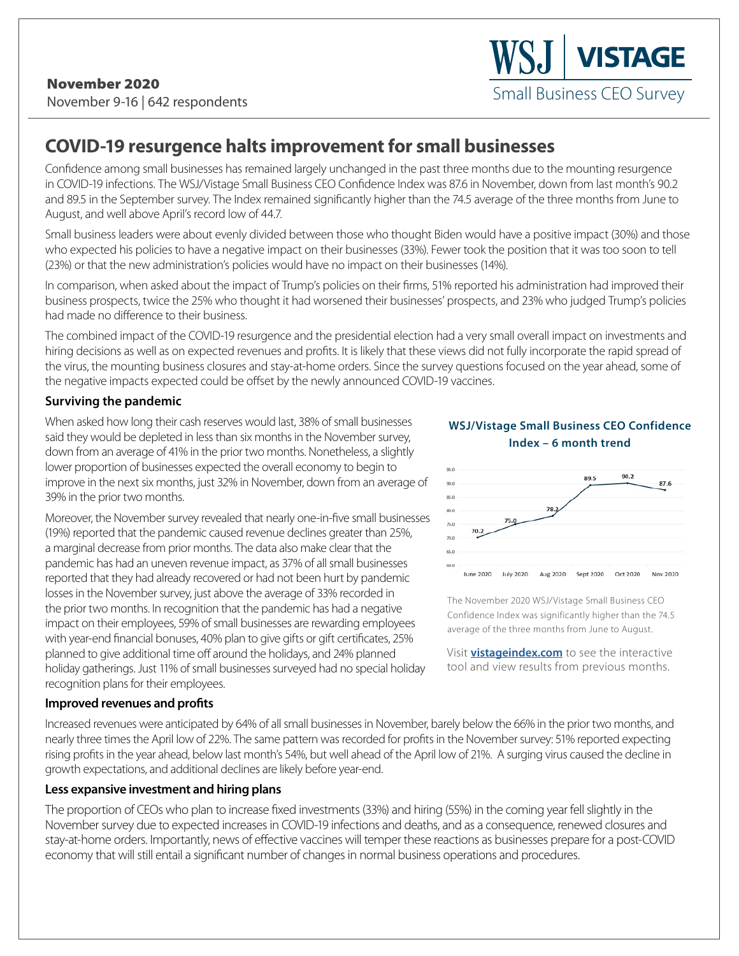# **COVID-19 resurgence halts improvement for small businesses**

Confidence among small businesses has remained largely unchanged in the past three months due to the mounting resurgence in COVID-19 infections. The WSJ/Vistage Small Business CEO Confidence Index was 87.6 in November, down from last month's 90.2 and 89.5 in the September survey. The Index remained significantly higher than the 74.5 average of the three months from June to August, and well above April's record low of 44.7.

Small business leaders were about evenly divided between those who thought Biden would have a positive impact (30%) and those who expected his policies to have a negative impact on their businesses (33%). Fewer took the position that it was too soon to tell (23%) or that the new administration's policies would have no impact on their businesses (14%).

In comparison, when asked about the impact of Trump's policies on their firms, 51% reported his administration had improved their business prospects, twice the 25% who thought it had worsened their businesses' prospects, and 23% who judged Trump's policies had made no difference to their business.

The combined impact of the COVID-19 resurgence and the presidential election had a very small overall impact on investments and hiring decisions as well as on expected revenues and profits. It is likely that these views did not fully incorporate the rapid spread of the virus, the mounting business closures and stay-at-home orders. Since the survey questions focused on the year ahead, some of the negative impacts expected could be offset by the newly announced COVID-19 vaccines.

#### **Surviving the pandemic**

When asked how long their cash reserves would last, 38% of small businesses said they would be depleted in less than six months in the November survey, down from an average of 41% in the prior two months. Nonetheless, a slightly lower proportion of businesses expected the overall economy to begin to improve in the next six months, just 32% in November, down from an average of 39% in the prior two months.

Moreover, the November survey revealed that nearly one-in-five small businesses (19%) reported that the pandemic caused revenue declines greater than 25%, a marginal decrease from prior months. The data also make clear that the pandemic has had an uneven revenue impact, as 37% of all small businesses reported that they had already recovered or had not been hurt by pandemic losses in the November survey, just above the average of 33% recorded in the prior two months. In recognition that the pandemic has had a negative impact on their employees, 59% of small businesses are rewarding employees with year-end financial bonuses, 40% plan to give gifts or gift certificates, 25% planned to give additional time off around the holidays, and 24% planned holiday gatherings. Just 11% of small businesses surveyed had no special holiday recognition plans for their employees.

### **WSJ/Vistage Small Business CEO Confidence Index – 6 month trend**

Small Business CEO Survey

**VISTAGE** 



The November 2020 WSJ/Vistage Small Business CEO Confidence Index was significantly higher than the 74.5 average of the three months from June to August.

Visit **vistageindex.com** to see the interactive tool and view results from previous months.

#### **Improved revenues and profits**

Increased revenues were anticipated by 64% of all small businesses in November, barely below the 66% in the prior two months, and nearly three times the April low of 22%. The same pattern was recorded for profits in the November survey: 51% reported expecting rising profits in the year ahead, below last month's 54%, but well ahead of the April low of 21%. A surging virus caused the decline in growth expectations, and additional declines are likely before year-end.

#### **Less expansive investment and hiring plans**

The proportion of CEOs who plan to increase fixed investments (33%) and hiring (55%) in the coming year fell slightly in the November survey due to expected increases in COVID-19 infections and deaths, and as a consequence, renewed closures and stay-at-home orders. Importantly, news of effective vaccines will temper these reactions as businesses prepare for a post-COVID economy that will still entail a significant number of changes in normal business operations and procedures.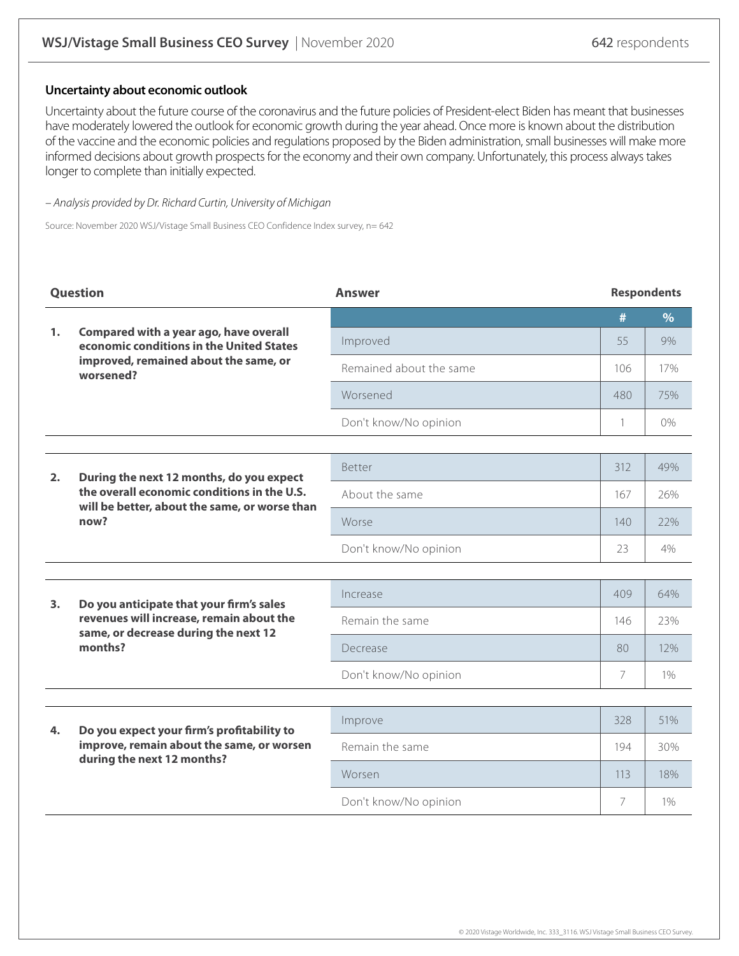#### **Uncertainty about economic outlook**

Uncertainty about the future course of the coronavirus and the future policies of President-elect Biden has meant that businesses have moderately lowered the outlook for economic growth during the year ahead. Once more is known about the distribution of the vaccine and the economic policies and regulations proposed by the Biden administration, small businesses will make more informed decisions about growth prospects for the economy and their own company. Unfortunately, this process always takes longer to complete than initially expected.

– Analysis provided by Dr. Richard Curtin, University of Michigan

Source: November 2020 WSJ/Vistage Small Business CEO Confidence Index survey, n= 642

| Question       |                                                                                                                                                  | <b>Answer</b>           | <b>Respondents</b> |               |
|----------------|--------------------------------------------------------------------------------------------------------------------------------------------------|-------------------------|--------------------|---------------|
|                |                                                                                                                                                  |                         | #                  | $\frac{9}{6}$ |
| 1 <sub>1</sub> | Compared with a year ago, have overall<br>economic conditions in the United States<br>improved, remained about the same, or<br>worsened?         | Improved                | 55                 | 9%            |
|                |                                                                                                                                                  | Remained about the same | 106                | 17%           |
|                |                                                                                                                                                  | Worsened                | 480                | 75%           |
|                |                                                                                                                                                  | Don't know/No opinion   | 1                  | $0\%$         |
|                |                                                                                                                                                  |                         |                    |               |
| 2.             | During the next 12 months, do you expect<br>the overall economic conditions in the U.S.<br>will be better, about the same, or worse than<br>now? | Better                  |                    | 49%           |
|                |                                                                                                                                                  | About the same          |                    | 26%           |
|                |                                                                                                                                                  | Worse                   |                    | 22%           |
|                |                                                                                                                                                  | Don't know/No opinion   | 23                 | 4%            |
|                |                                                                                                                                                  |                         |                    |               |
| 3.             | Do you anticipate that your firm's sales<br>revenues will increase, remain about the<br>same, or decrease during the next 12<br>months?          | Increase                | 409                | 64%           |
|                |                                                                                                                                                  | Remain the same         | 146                | 23%           |
|                |                                                                                                                                                  | Decrease                | 80                 | 12%           |
|                |                                                                                                                                                  | Don't know/No opinion   | $\overline{7}$     | 1%            |
|                |                                                                                                                                                  |                         |                    |               |
| 4.             | Do you expect your firm's profitability to<br>improve, remain about the same, or worsen<br>during the next 12 months?                            | Improve                 | 328                | 51%           |
|                |                                                                                                                                                  | Remain the same         |                    | 30%           |
|                |                                                                                                                                                  | Worsen                  | 113                | 18%           |
|                |                                                                                                                                                  | Don't know/No opinion   | 7                  | 1%            |
|                |                                                                                                                                                  |                         |                    |               |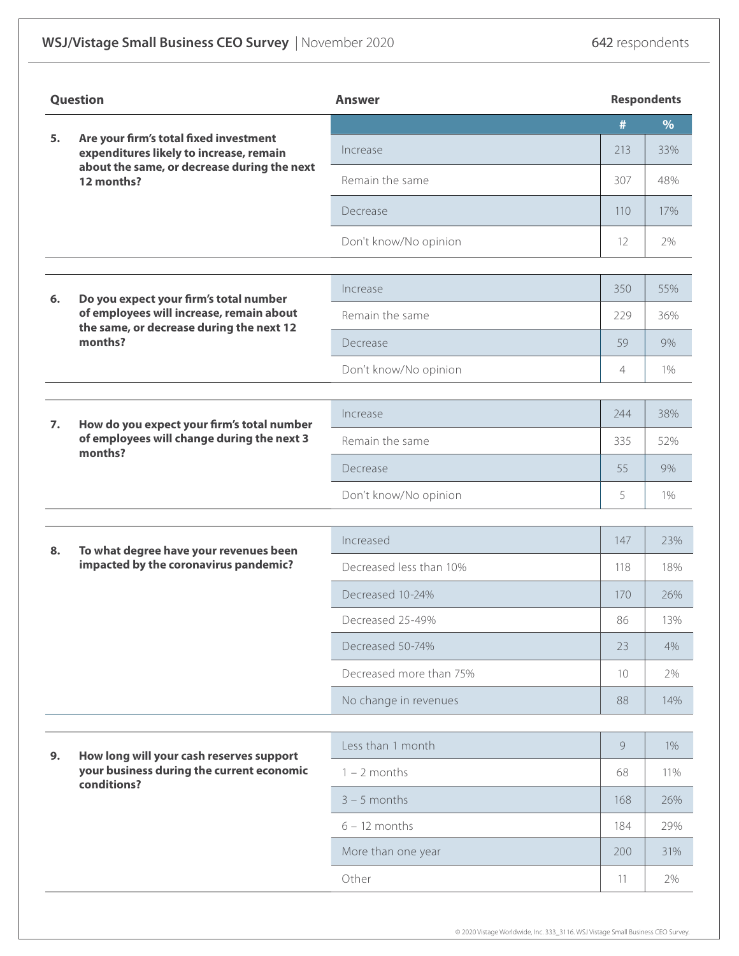## WSJ/Vistage Small Business CEO Survey | November 2020 642 respondents

| Question |                                                                                                                                                | <b>Answer</b>           |                   | <b>Respondents</b> |  |  |
|----------|------------------------------------------------------------------------------------------------------------------------------------------------|-------------------------|-------------------|--------------------|--|--|
| 5.       | Are your firm's total fixed investment<br>expenditures likely to increase, remain<br>about the same, or decrease during the next<br>12 months? |                         | #                 | $\frac{9}{6}$      |  |  |
|          |                                                                                                                                                | Increase                | 213               | 33%                |  |  |
|          |                                                                                                                                                | Remain the same         | 307               | 48%                |  |  |
|          |                                                                                                                                                | Decrease                | 110               | 17%                |  |  |
|          |                                                                                                                                                | Don't know/No opinion   | $12 \overline{ }$ | 2%                 |  |  |
|          |                                                                                                                                                |                         |                   |                    |  |  |
| 6.       | Do you expect your firm's total number<br>of employees will increase, remain about<br>the same, or decrease during the next 12<br>months?      | Increase                | 350               | 55%                |  |  |
|          |                                                                                                                                                | Remain the same         | 229               | 36%                |  |  |
|          |                                                                                                                                                | Decrease                | 59                | 9%                 |  |  |
|          |                                                                                                                                                | Don't know/No opinion   | 4                 | $1\%$              |  |  |
|          |                                                                                                                                                |                         |                   |                    |  |  |
| 7.       | How do you expect your firm's total number<br>of employees will change during the next 3<br>months?                                            | Increase                | 244               | 38%                |  |  |
|          |                                                                                                                                                | Remain the same         |                   | 52%                |  |  |
|          |                                                                                                                                                | Decrease                |                   | 9%                 |  |  |
|          |                                                                                                                                                | Don't know/No opinion   | 5                 | $1\%$              |  |  |
|          |                                                                                                                                                |                         |                   |                    |  |  |
| 8.       | To what degree have your revenues been<br>impacted by the coronavirus pandemic?                                                                | Increased               | 147               | 23%                |  |  |
|          |                                                                                                                                                | Decreased less than 10% | 118               | 18%                |  |  |
|          |                                                                                                                                                | Decreased 10-24%        | 170               | 26%                |  |  |
|          |                                                                                                                                                | Decreased 25-49%        | 86                | 13%                |  |  |
|          |                                                                                                                                                | Decreased 50-74%        | 23                | 4%                 |  |  |
|          |                                                                                                                                                | Decreased more than 75% | 10                | 2%                 |  |  |
|          |                                                                                                                                                | No change in revenues   | 88                | 14%                |  |  |
|          | How long will your cash reserves support<br>your business during the current economic<br>conditions?                                           | Less than 1 month       | 9                 | 1%                 |  |  |
| 9.       |                                                                                                                                                | $1 - 2$ months          |                   | 11%                |  |  |
|          |                                                                                                                                                | $3 - 5$ months          | 168               | 26%                |  |  |
|          |                                                                                                                                                | $6 - 12$ months         | 184               | 29%                |  |  |
|          |                                                                                                                                                | More than one year      | 200               | 31%                |  |  |
|          |                                                                                                                                                | Other                   | 11                | 2%                 |  |  |
|          |                                                                                                                                                |                         |                   |                    |  |  |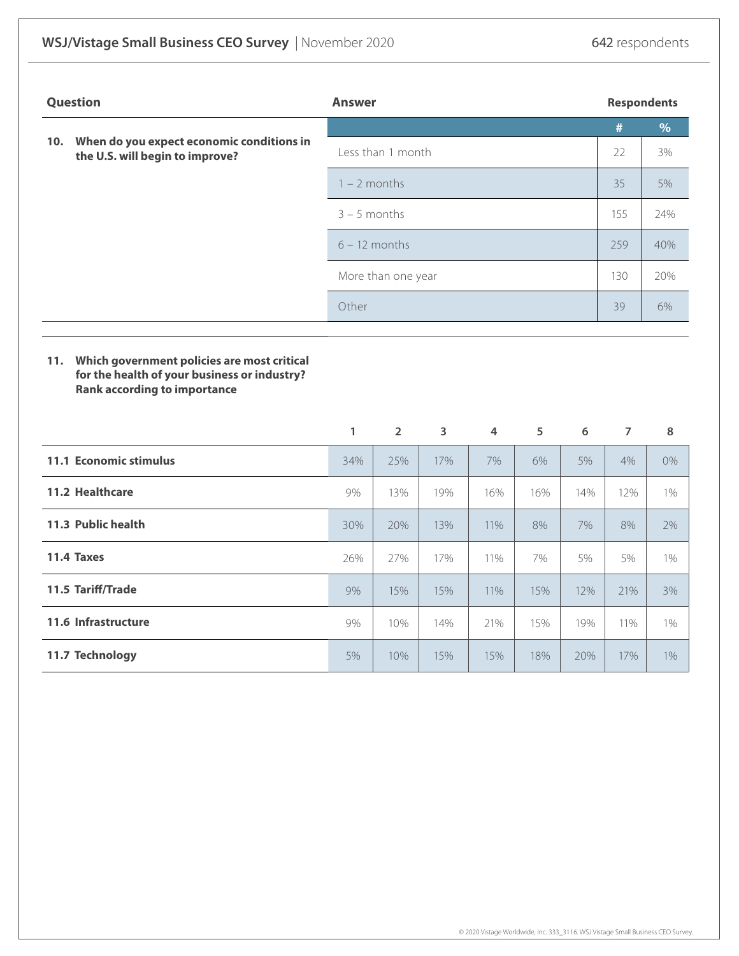| <b>Question</b> |                                                                                                                                    | <b>Answer</b>      |                 |                         |                |     | <b>Respondents</b> |                |       |
|-----------------|------------------------------------------------------------------------------------------------------------------------------------|--------------------|-----------------|-------------------------|----------------|-----|--------------------|----------------|-------|
|                 |                                                                                                                                    |                    |                 |                         |                |     |                    | $\#$           | $\%$  |
| 10.             | When do you expect economic conditions in<br>the U.S. will begin to improve?                                                       | Less than 1 month  |                 |                         |                |     |                    | 22             | 3%    |
|                 |                                                                                                                                    |                    | $1 - 2$ months  |                         |                |     | 35                 | 5%             |       |
|                 |                                                                                                                                    |                    | $3 - 5$ months  |                         |                | 155 | 24%                |                |       |
|                 |                                                                                                                                    |                    | $6 - 12$ months |                         |                |     | 259                | 40%            |       |
|                 |                                                                                                                                    | More than one year |                 |                         |                | 130 | 20%                |                |       |
|                 |                                                                                                                                    | Other              |                 |                         |                |     | 39                 | 6%             |       |
|                 |                                                                                                                                    |                    |                 |                         |                |     |                    |                |       |
| 11.             | Which government policies are most critical<br>for the health of your business or industry?<br><b>Rank according to importance</b> |                    |                 |                         |                |     |                    |                |       |
|                 |                                                                                                                                    | 1                  | $\overline{2}$  | $\overline{\mathbf{3}}$ | $\overline{4}$ | 5   | 6                  | $\overline{7}$ | 8     |
|                 | 11.1 Economic stimulus                                                                                                             | 34%                | 25%             | 17%                     | 7%             | 6%  | 5%                 | 4%             | $0\%$ |
|                 | 11.2 Healthcare                                                                                                                    | 9%                 | 13%             | 19%                     | 16%            | 16% | 14%                | 12%            | 1%    |
|                 | 11.3 Public health                                                                                                                 | 30%                | 20%             | 13%                     | 11%            | 8%  | 7%                 | 8%             | 2%    |
|                 | 11.4 Taxes                                                                                                                         | 26%                | 27%             | 17%                     | 11%            | 7%  | 5%                 | 5%             | 1%    |
|                 | 11.5 Tariff/Trade                                                                                                                  | 9%                 | 15%             | 15%                     | 11%            | 15% | 12%                | 21%            | 3%    |
|                 | 11.6 Infrastructure                                                                                                                | 9%                 | 10%             | 14%                     | 21%            | 15% | 19%                | 11%            | 1%    |
|                 | 11.7 Technology                                                                                                                    | 5%                 | 10%             | 15%                     | 15%            | 18% | 20%                | 17%            | 1%    |
|                 |                                                                                                                                    |                    |                 |                         |                |     |                    |                |       |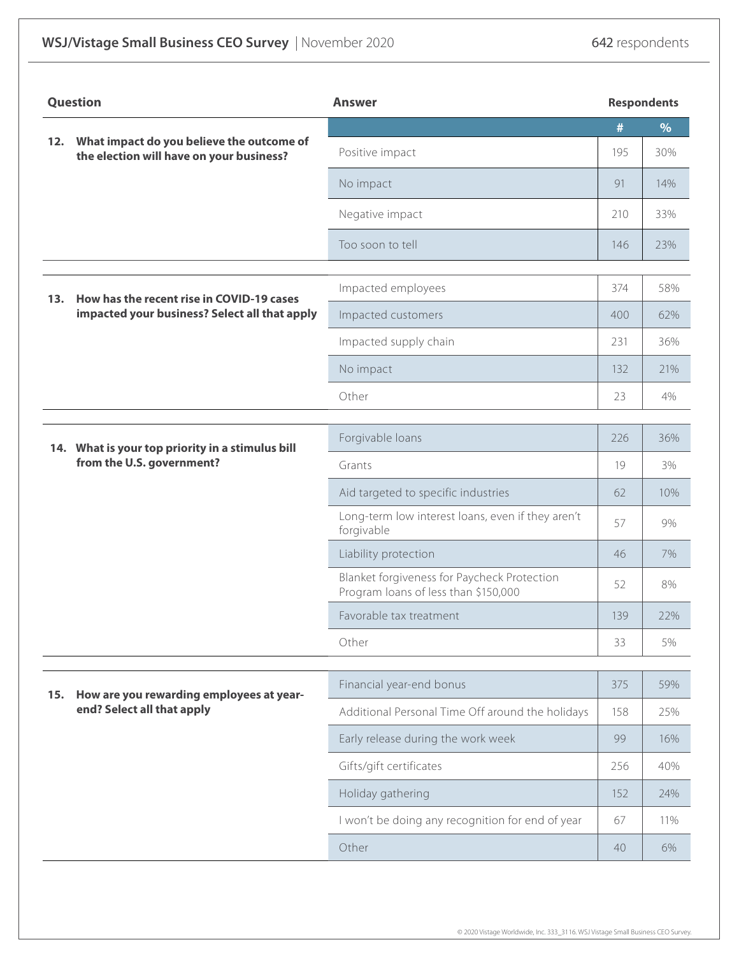## WSJ/Vistage Small Business CEO Survey | November 2020 642 respondents

| Question |                                                                                            | <b>Answer</b>                                                                       | <b>Respondents</b> |      |
|----------|--------------------------------------------------------------------------------------------|-------------------------------------------------------------------------------------|--------------------|------|
| 12.      |                                                                                            |                                                                                     |                    | $\%$ |
|          | What impact do you believe the outcome of<br>the election will have on your business?      | Positive impact                                                                     | 195                | 30%  |
|          |                                                                                            | No impact                                                                           | 91                 | 14%  |
|          |                                                                                            | Negative impact                                                                     | 210                | 33%  |
|          |                                                                                            | Too soon to tell                                                                    | 146                | 23%  |
|          |                                                                                            | Impacted employees                                                                  | 374                | 58%  |
| 13.      | How has the recent rise in COVID-19 cases<br>impacted your business? Select all that apply | Impacted customers                                                                  | 400                | 62%  |
|          |                                                                                            | Impacted supply chain                                                               | 231                | 36%  |
|          |                                                                                            | No impact                                                                           | 132                | 21%  |
|          |                                                                                            | Other                                                                               | 23                 | 4%   |
|          |                                                                                            |                                                                                     |                    |      |
|          | 14. What is your top priority in a stimulus bill<br>from the U.S. government?              | Forgivable loans                                                                    |                    | 36%  |
|          |                                                                                            | Grants                                                                              |                    | 3%   |
|          |                                                                                            | Aid targeted to specific industries                                                 | 62                 | 10%  |
|          |                                                                                            | Long-term low interest loans, even if they aren't<br>forgivable                     | 57                 | 9%   |
|          |                                                                                            | Liability protection                                                                | 46                 | 7%   |
|          |                                                                                            | Blanket forgiveness for Paycheck Protection<br>Program loans of less than \$150,000 | 52                 | 8%   |
|          |                                                                                            | Favorable tax treatment                                                             | 139                | 22%  |
|          |                                                                                            | Other                                                                               | 33                 | 5%   |
|          |                                                                                            |                                                                                     |                    |      |
| 15.      | How are you rewarding employees at year-<br>end? Select all that apply                     | Financial year-end bonus                                                            | 375                | 59%  |
|          |                                                                                            | Additional Personal Time Off around the holidays                                    | 158                | 25%  |
|          |                                                                                            | Early release during the work week                                                  |                    | 16%  |
|          |                                                                                            | Gifts/gift certificates                                                             | 256                | 40%  |
|          |                                                                                            | Holiday gathering                                                                   | 152                | 24%  |
|          |                                                                                            | I won't be doing any recognition for end of year                                    | 67                 | 11%  |
|          |                                                                                            | Other                                                                               | 40                 | 6%   |